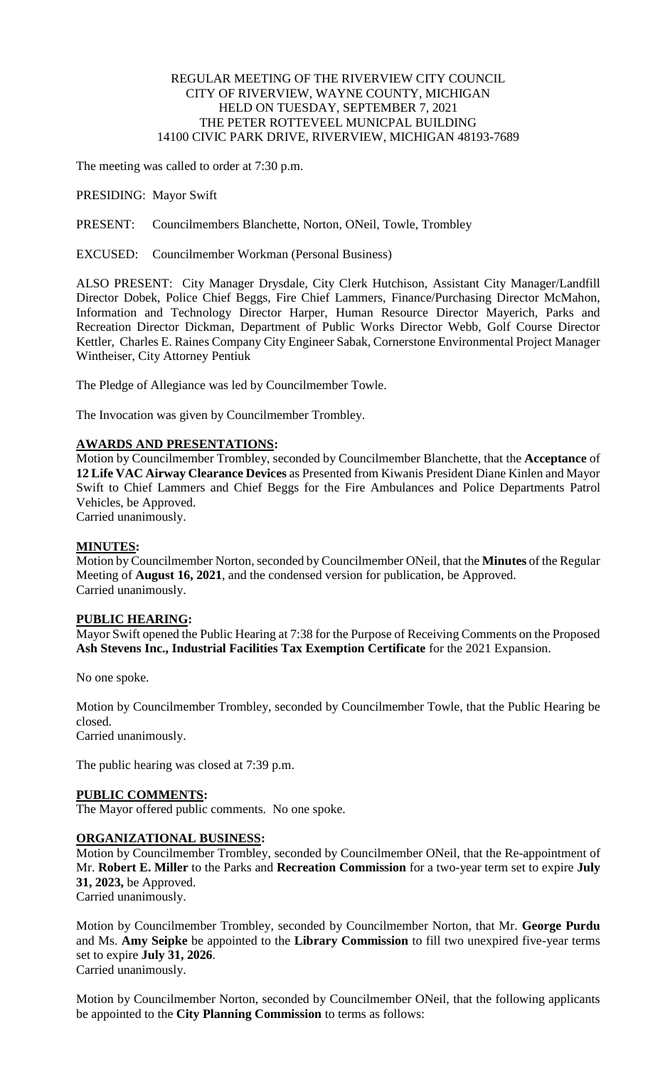## REGULAR MEETING OF THE RIVERVIEW CITY COUNCIL CITY OF RIVERVIEW, WAYNE COUNTY, MICHIGAN HELD ON TUESDAY, SEPTEMBER 7, 2021 THE PETER ROTTEVEEL MUNICPAL BUILDING 14100 CIVIC PARK DRIVE, RIVERVIEW, MICHIGAN 48193-7689

The meeting was called to order at 7:30 p.m.

PRESIDING: Mayor Swift

PRESENT: Councilmembers Blanchette, Norton, ONeil, Towle, Trombley

EXCUSED: Councilmember Workman (Personal Business)

ALSO PRESENT: City Manager Drysdale, City Clerk Hutchison, Assistant City Manager/Landfill Director Dobek, Police Chief Beggs, Fire Chief Lammers, Finance/Purchasing Director McMahon, Information and Technology Director Harper, Human Resource Director Mayerich, Parks and Recreation Director Dickman, Department of Public Works Director Webb, Golf Course Director Kettler, Charles E. Raines Company City Engineer Sabak, Cornerstone Environmental Project Manager Wintheiser, City Attorney Pentiuk

The Pledge of Allegiance was led by Councilmember Towle.

The Invocation was given by Councilmember Trombley.

#### **AWARDS AND PRESENTATIONS:**

Motion by Councilmember Trombley, seconded by Councilmember Blanchette, that the **Acceptance** of **12 Life VAC Airway Clearance Devices** as Presented from Kiwanis President Diane Kinlen and Mayor Swift to Chief Lammers and Chief Beggs for the Fire Ambulances and Police Departments Patrol Vehicles, be Approved.

Carried unanimously.

#### **MINUTES:**

Motion by Councilmember Norton, seconded by Councilmember ONeil, that the **Minutes** of the Regular Meeting of **August 16, 2021**, and the condensed version for publication, be Approved. Carried unanimously.

#### **PUBLIC HEARING:**

Mayor Swift opened the Public Hearing at 7:38 for the Purpose of Receiving Comments on the Proposed **Ash Stevens Inc., Industrial Facilities Tax Exemption Certificate** for the 2021 Expansion.

No one spoke.

Motion by Councilmember Trombley, seconded by Councilmember Towle, that the Public Hearing be closed.

Carried unanimously.

The public hearing was closed at 7:39 p.m.

## **PUBLIC COMMENTS:**

The Mayor offered public comments. No one spoke.

## **ORGANIZATIONAL BUSINESS:**

Motion by Councilmember Trombley, seconded by Councilmember ONeil, that the Re-appointment of Mr. **Robert E. Miller** to the Parks and **Recreation Commission** for a two-year term set to expire **July 31, 2023,** be Approved.

Carried unanimously.

Motion by Councilmember Trombley, seconded by Councilmember Norton, that Mr. **George Purdu** and Ms. **Amy Seipke** be appointed to the **Library Commission** to fill two unexpired five-year terms set to expire **July 31, 2026**. Carried unanimously.

Motion by Councilmember Norton, seconded by Councilmember ONeil, that the following applicants be appointed to the **City Planning Commission** to terms as follows: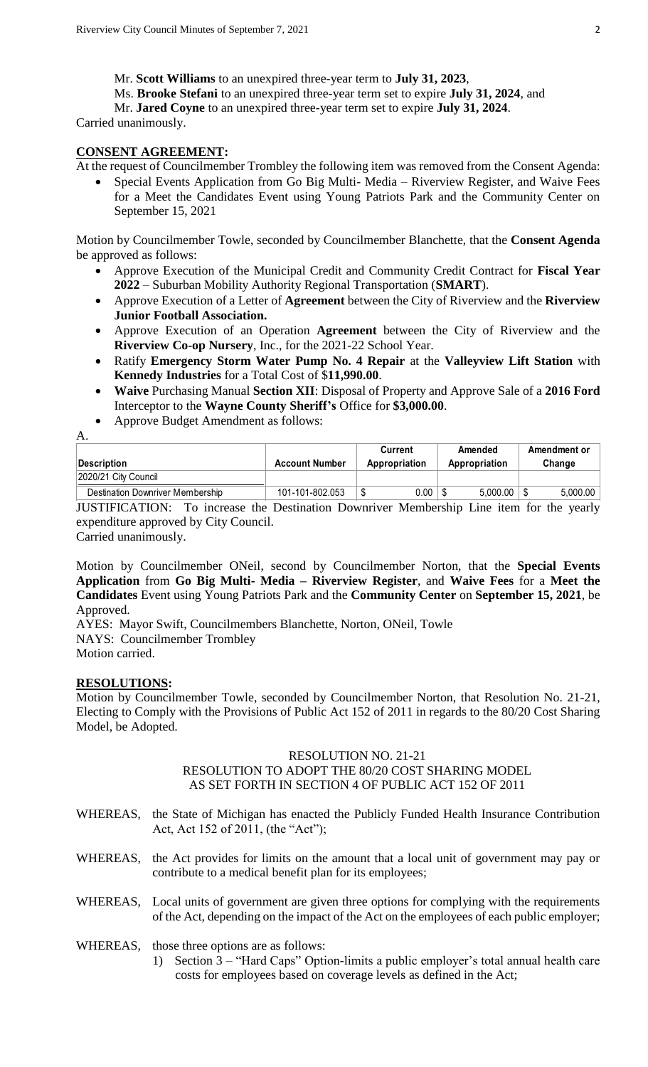Mr. **Scott Williams** to an unexpired three-year term to **July 31, 2023**,

Ms. **Brooke Stefani** to an unexpired three-year term set to expire **July 31, 2024**, and

Mr. **Jared Coyne** to an unexpired three-year term set to expire **July 31, 2024**.

Carried unanimously.

## **CONSENT AGREEMENT:**

At the request of Councilmember Trombley the following item was removed from the Consent Agenda:

 Special Events Application from Go Big Multi- Media – Riverview Register, and Waive Fees for a Meet the Candidates Event using Young Patriots Park and the Community Center on September 15, 2021

Motion by Councilmember Towle, seconded by Councilmember Blanchette, that the **Consent Agenda** be approved as follows:

- Approve Execution of the Municipal Credit and Community Credit Contract for **Fiscal Year 2022** – Suburban Mobility Authority Regional Transportation (**SMART**).
- Approve Execution of a Letter of **Agreement** between the City of Riverview and the **Riverview Junior Football Association.**
- Approve Execution of an Operation **Agreement** between the City of Riverview and the **Riverview Co-op Nursery**, Inc., for the 2021-22 School Year.
- Ratify **Emergency Storm Water Pump No. 4 Repair** at the **Valleyview Lift Station** with **Kennedy Industries** for a Total Cost of \$**11,990.00**.
- **Waive** Purchasing Manual **Section XII**: Disposal of Property and Approve Sale of a **2016 Ford** Interceptor to the **Wayne County Sheriff's** Office for **\$3,000.00**.
- Approve Budget Amendment as follows:

A. **Description Account Number Current Appropriation Amended Appropriation Amendment or Change** 2020/21 City Council Destination Downriver Membership 101-101-802.053 \$ 0.00 \$ 5,000.00 \$ 5,000.00

JUSTIFICATION: To increase the Destination Downriver Membership Line item for the yearly expenditure approved by City Council.

Carried unanimously.

Motion by Councilmember ONeil, second by Councilmember Norton, that the **Special Events Application** from **Go Big Multi- Media – Riverview Register**, and **Waive Fees** for a **Meet the Candidates** Event using Young Patriots Park and the **Community Center** on **September 15, 2021**, be Approved.

AYES: Mayor Swift, Councilmembers Blanchette, Norton, ONeil, Towle NAYS: Councilmember Trombley Motion carried.

## **RESOLUTIONS:**

Motion by Councilmember Towle, seconded by Councilmember Norton, that Resolution No. 21-21, Electing to Comply with the Provisions of Public Act 152 of 2011 in regards to the 80/20 Cost Sharing Model, be Adopted.

# RESOLUTION NO. 21-21

## RESOLUTION TO ADOPT THE 80/20 COST SHARING MODEL AS SET FORTH IN SECTION 4 OF PUBLIC ACT 152 OF 2011

- WHEREAS, the State of Michigan has enacted the Publicly Funded Health Insurance Contribution Act, Act 152 of 2011, (the "Act");
- WHEREAS, the Act provides for limits on the amount that a local unit of government may pay or contribute to a medical benefit plan for its employees;
- WHEREAS, Local units of government are given three options for complying with the requirements of the Act, depending on the impact of the Act on the employees of each public employer;
- WHEREAS, those three options are as follows:
	- 1) Section 3 "Hard Caps" Option-limits a public employer's total annual health care costs for employees based on coverage levels as defined in the Act;